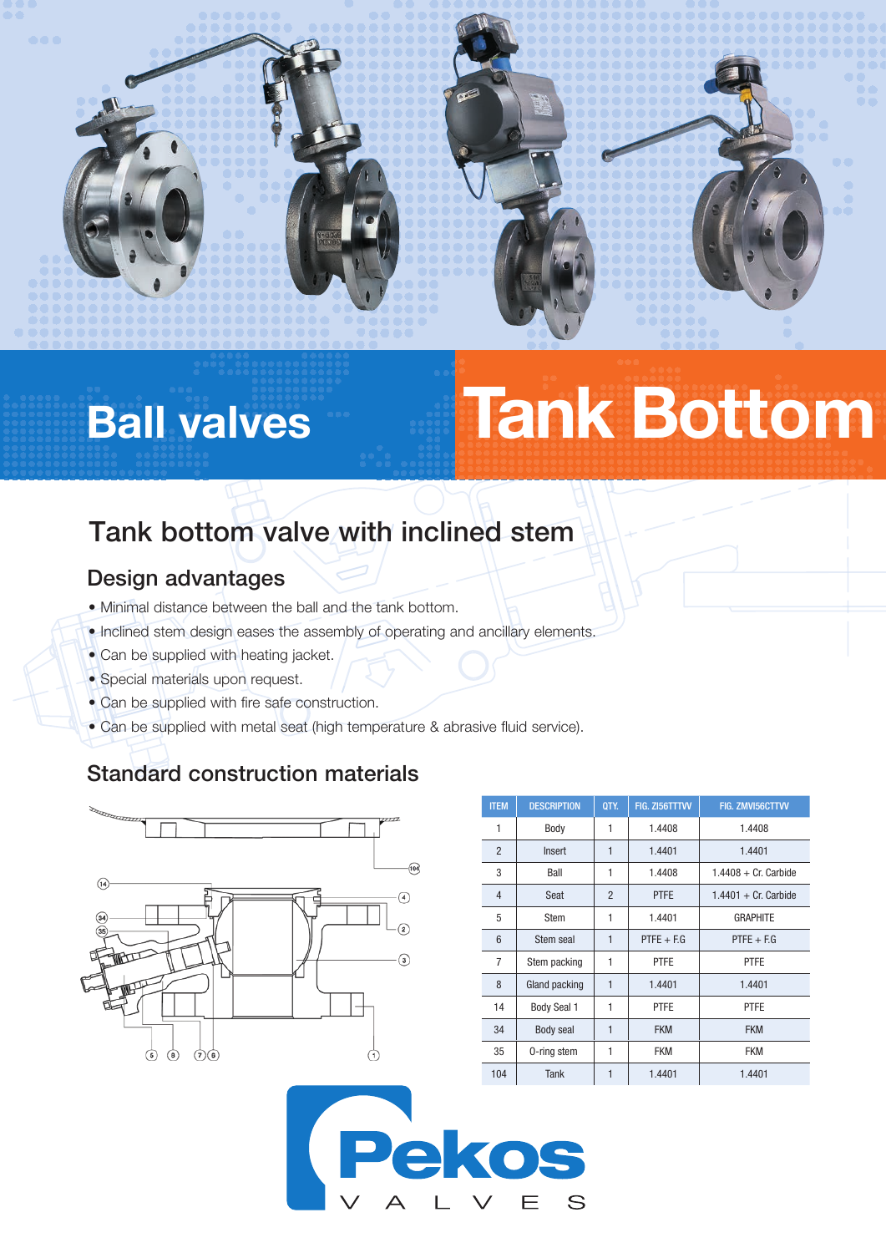# Ball valves Tank Bottom

# Tank bottom valve with inclined stem

#### Design advantages

- Minimal distance between the ball and the tank bottom.
- Inclined stem design eases the assembly of operating and ancillary elements.
- Can be supplied with heating jacket.
- Special materials upon request.
- Can be supplied with fire safe construction.
- Can be supplied with metal seat (high temperature & abrasive fluid service).

### Standard construction materials



| <b>ITEM</b>    | <b>DESCRIPTION</b> | QTY.           | FIG. ZI56TTTVV | FIG. ZMVI56CTTVV        |  |  |  |
|----------------|--------------------|----------------|----------------|-------------------------|--|--|--|
| 1              | Body               | 1              | 1.4408         | 1.4408                  |  |  |  |
| $\overline{2}$ | Insert             | 1              | 1.4401         | 1.4401                  |  |  |  |
| 3              | Ball               | 1              | 1.4408         | $1.4408 + Cr$ . Carbide |  |  |  |
| $\overline{4}$ | Seat               | $\overline{2}$ | <b>PTFE</b>    | $1.4401 + Cr$ . Carbide |  |  |  |
| 5              | Stem               | 1              | 1.4401         | <b>GRAPHITE</b>         |  |  |  |
| 6              | Stem seal          | $\mathbf{1}$   | $PTFE + EG$    | $PTFE + EG$             |  |  |  |
| $\overline{7}$ | Stem packing       | 1              | <b>PTFE</b>    | <b>PTFE</b>             |  |  |  |
| 8              | Gland packing      | $\mathbf{1}$   | 1.4401         | 1.4401                  |  |  |  |
| 14             | <b>Body Seal 1</b> | 1              | <b>PTFE</b>    | <b>PTFE</b>             |  |  |  |
| 34             | Body seal          | $\mathbf{1}$   | <b>FKM</b>     | <b>FKM</b>              |  |  |  |
| 35             | 0-ring stem        | 1              | FKM            | FKM                     |  |  |  |
| 104            | Tank               | 1              | 1.4401         | 1.4401                  |  |  |  |